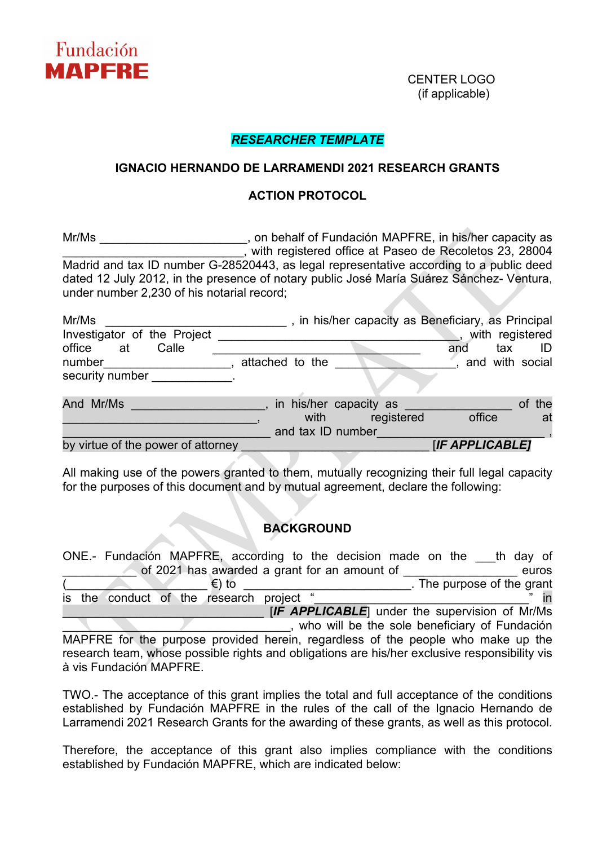

(if applicable)

### *RESEARCHER TEMPLATE*

#### **IGNACIO HERNANDO DE LARRAMENDI 2021 RESEARCH GRANTS**

#### **ACTION PROTOCOL**

Mr/Ms **Mrimum Matter of State Controller State Controller Controller State Controller State Controller State Controller State Controller State Controller State Controller State Controller State Controller State Controller** \_\_\_\_\_\_\_\_\_\_\_\_\_\_\_\_\_\_\_\_\_\_\_\_\_\_\_, with registered office at Paseo de Recoletos 23, 28004 Madrid and tax ID number G-28520443, as legal representative according to a public deed dated 12 July 2012, in the presence of notary public José María Suárez Sánchez- Ventura, under number 2,230 of his notarial record;

| Mr/Ms                              | , in his/her capacity as Beneficiary, as Principal |                   |        |
|------------------------------------|----------------------------------------------------|-------------------|--------|
| Investigator of the Project        |                                                    | , with registered |        |
| office<br>Calle<br>at              |                                                    | tax<br>and        | ID     |
| number                             | attached to the                                    | , and with social |        |
| security number                    |                                                    |                   |        |
| And Mr/Ms                          | in his/her capacity as                             |                   | of the |
|                                    | registered<br>with                                 | office            | _at    |
|                                    | and tax ID number                                  |                   |        |
| by virtue of the power of attorney |                                                    | [IF APPLICABLE]   |        |

All making use of the powers granted to them, mutually recognizing their full legal capacity for the purposes of this document and by mutual agreement, declare the following:

# **BACKGROUND**

ONE.- Fundación MAPFRE, according to the decision made on the th day of of 2021 has awarded a grant for an amount of **Example 2021** has awarded a grant for an amount of  $(\epsilon)$  to \_\_\_\_\_\_\_\_\_\_\_\_\_\_\_\_\_\_\_\_\_\_\_\_\_\_\_\_\_\_\_\_. The purpose of the grant research project " is the conduct of the research project " **Example 2.1 IF APPLICABLE** under the supervision of Mr/Ms \_\_\_\_\_\_\_\_\_\_\_\_\_\_\_\_\_\_\_\_\_\_\_\_\_\_\_\_\_\_\_\_\_\_, who will be the sole beneficiary of Fundación

MAPFRE for the purpose provided herein, regardless of the people who make up the research team, whose possible rights and obligations are his/her exclusive responsibility vis à vis Fundación MAPFRE.

TWO.- The acceptance of this grant implies the total and full acceptance of the conditions established by Fundación MAPFRE in the rules of the call of the Ignacio Hernando de Larramendi 2021 Research Grants for the awarding of these grants, as well as this protocol.

Therefore, the acceptance of this grant also implies compliance with the conditions established by Fundación MAPFRE, which are indicated below: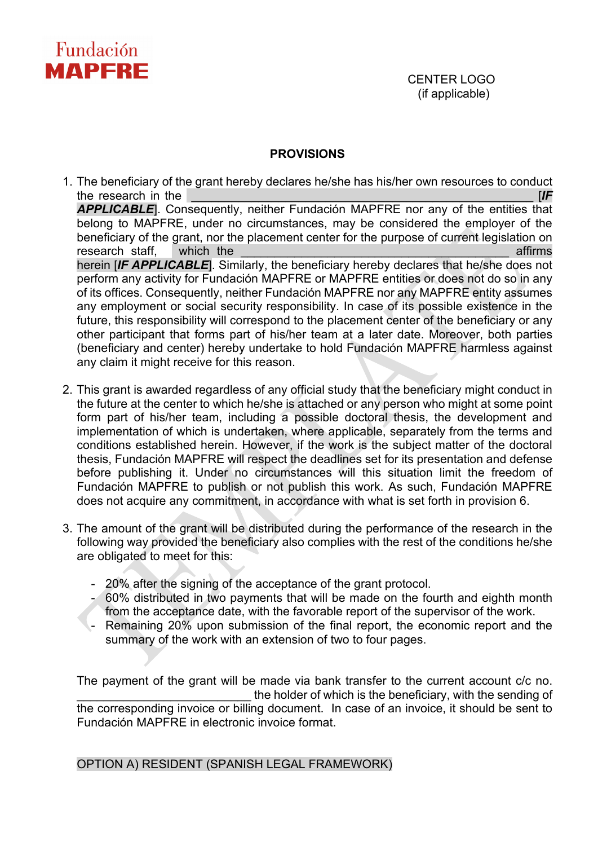

(if applicable)

## **PROVISIONS**

1. The beneficiary of the grant hereby declares he/she has his/her own resources to conduct the research in the  $\blacksquare$ *APPLICABLE*]. Consequently, neither Fundación MAPFRE nor any of the entities that belong to MAPFRE, under no circumstances, may be considered the employer of the beneficiary of the grant, nor the placement center for the purpose of current legislation on research staff, which the the contract of the contract of the contract of the contract of the contract of the contract of the contract of the contract of the contract of the contract of the contract of the contract of the herein [*IF APPLICABLE*]. Similarly, the beneficiary hereby declares that he/she does not perform any activity for Fundación MAPFRE or MAPFRE entities or does not do so in any of its offices. Consequently, neither Fundación MAPFRE nor any MAPFRE entity assumes any employment or social security responsibility. In case of its possible existence in the future, this responsibility will correspond to the placement center of the beneficiary or any other participant that forms part of his/her team at a later date. Moreover, both parties (beneficiary and center) hereby undertake to hold Fundación MAPFRE harmless against any claim it might receive for this reason.

- 2. This grant is awarded regardless of any official study that the beneficiary might conduct in the future at the center to which he/she is attached or any person who might at some point form part of his/her team, including a possible doctoral thesis, the development and implementation of which is undertaken, where applicable, separately from the terms and conditions established herein. However, if the work is the subject matter of the doctoral thesis, Fundación MAPFRE will respect the deadlines set for its presentation and defense before publishing it. Under no circumstances will this situation limit the freedom of Fundación MAPFRE to publish or not publish this work. As such, Fundación MAPFRE does not acquire any commitment, in accordance with what is set forth in provision 6.
- 3. The amount of the grant will be distributed during the performance of the research in the following way provided the beneficiary also complies with the rest of the conditions he/she are obligated to meet for this:
	- 20% after the signing of the acceptance of the grant protocol.
	- 60% distributed in two payments that will be made on the fourth and eighth month from the acceptance date, with the favorable report of the supervisor of the work.
	- Remaining 20% upon submission of the final report, the economic report and the summary of the work with an extension of two to four pages.

The payment of the grant will be made via bank transfer to the current account c/c no. the holder of which is the beneficiary, with the sending of the corresponding invoice or billing document. In case of an invoice, it should be sent to Fundación MAPFRE in electronic invoice format.

OPTION A) RESIDENT (SPANISH LEGAL FRAMEWORK)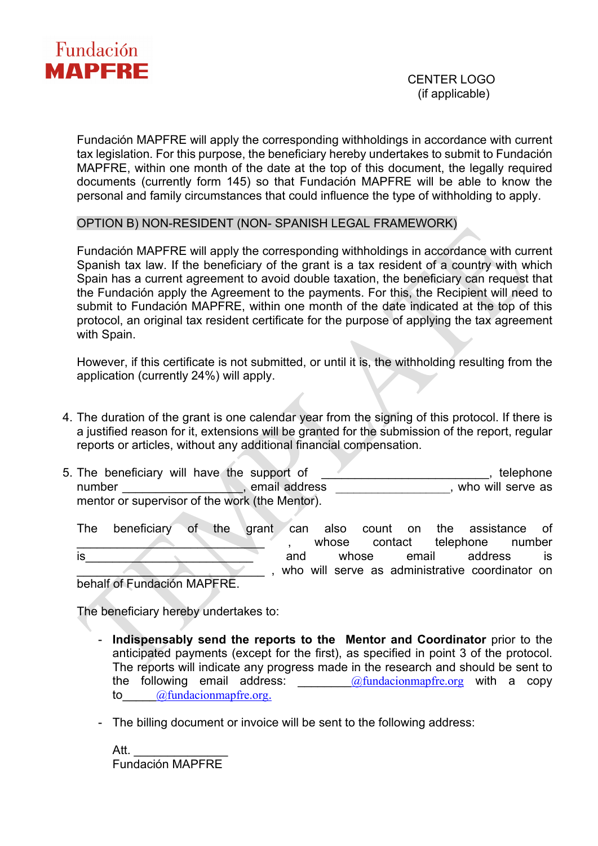

Fundación MAPFRE will apply the corresponding withholdings in accordance with current tax legislation. For this purpose, the beneficiary hereby undertakes to submit to Fundación MAPFRE, within one month of the date at the top of this document, the legally required documents (currently form 145) so that Fundación MAPFRE will be able to know the personal and family circumstances that could influence the type of withholding to apply.

OPTION B) NON-RESIDENT (NON- SPANISH LEGAL FRAMEWORK)

Fundación MAPFRE will apply the corresponding withholdings in accordance with current Spanish tax law. If the beneficiary of the grant is a tax resident of a country with which Spain has a current agreement to avoid double taxation, the beneficiary can request that the Fundación apply the Agreement to the payments. For this, the Recipient will need to submit to Fundación MAPFRE, within one month of the date indicated at the top of this protocol, an original tax resident certificate for the purpose of applying the tax agreement with Spain.

However, if this certificate is not submitted, or until it is, the withholding resulting from the application (currently 24%) will apply.

- 4. The duration of the grant is one calendar year from the signing of this protocol. If there is a justified reason for it, extensions will be granted for the submission of the report, regular reports or articles, without any additional financial compensation.
- 5. The beneficiary will have the support of the state of the state of the state of the state of the state of the state of the state of the state of the state of the state of the state of the state of the state of the state number and the serve of the serve as contract the serve as contract the serve as contract of the serve as contract to the serve as contract of the serve as contract of the serve as contract of the serve as contract of the mentor or supervisor of the work (the Mentor).
	- The beneficiary of the grant can also count on the assistance of whose contact telephone number is\_\_\_\_\_\_\_\_\_\_\_\_\_\_\_\_\_\_\_\_\_\_\_\_\_ and whose email address is who will serve as administrative coordinator on

behalf of Fundación MAPFRE.

The beneficiary hereby undertakes to:

- **Indispensably send the reports to the Mentor and Coordinator** prior to the anticipated payments (except for the first), as specified in point 3 of the protocol. The reports will indicate any progress made in the research and should be sent to the following email address:  $@$ fundacionmapfre.org with a copy to [@fundacionmapfre.org](mailto:_____@fundacionmapfre.org).
- The billing document or invoice will be sent to the following address:

Att. Fundación MAPFRE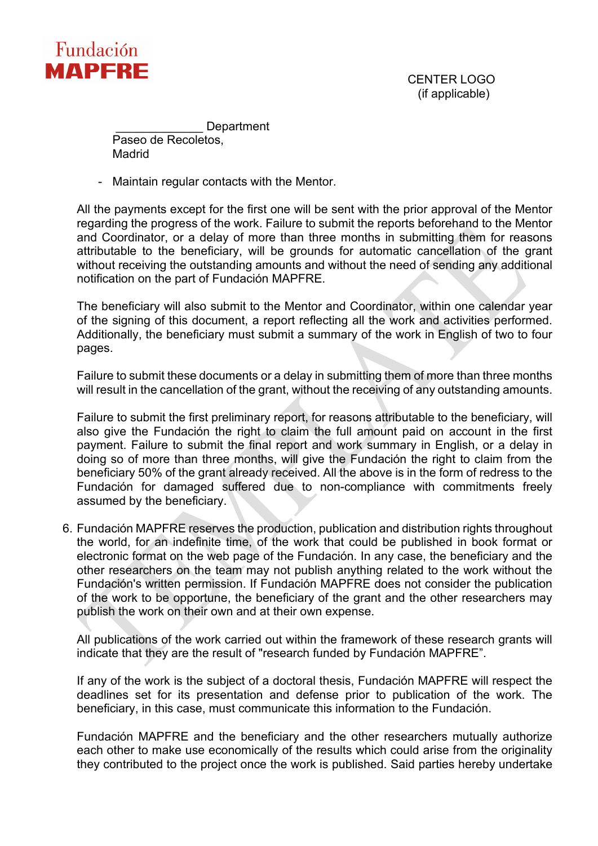

 CENTER LOGO (if applicable)

\_\_\_\_\_\_\_\_\_\_\_\_\_ Department Paseo de Recoletos.

Madrid

- Maintain regular contacts with the Mentor.

All the payments except for the first one will be sent with the prior approval of the Mentor regarding the progress of the work. Failure to submit the reports beforehand to the Mentor and Coordinator, or a delay of more than three months in submitting them for reasons attributable to the beneficiary, will be grounds for automatic cancellation of the grant without receiving the outstanding amounts and without the need of sending any additional notification on the part of Fundación MAPFRE.

The beneficiary will also submit to the Mentor and Coordinator, within one calendar year of the signing of this document, a report reflecting all the work and activities performed. Additionally, the beneficiary must submit a summary of the work in English of two to four pages.

Failure to submit these documents or a delay in submitting them of more than three months will result in the cancellation of the grant, without the receiving of any outstanding amounts.

Failure to submit the first preliminary report, for reasons attributable to the beneficiary, will also give the Fundación the right to claim the full amount paid on account in the first payment. Failure to submit the final report and work summary in English, or a delay in doing so of more than three months, will give the Fundación the right to claim from the beneficiary 50% of the grant already received. All the above is in the form of redress to the Fundación for damaged suffered due to non-compliance with commitments freely assumed by the beneficiary.

6. Fundación MAPFRE reserves the production, publication and distribution rights throughout the world, for an indefinite time, of the work that could be published in book format or electronic format on the web page of the Fundación. In any case, the beneficiary and the other researchers on the team may not publish anything related to the work without the Fundación's written permission. If Fundación MAPFRE does not consider the publication of the work to be opportune, the beneficiary of the grant and the other researchers may publish the work on their own and at their own expense.

All publications of the work carried out within the framework of these research grants will indicate that they are the result of "research funded by Fundación MAPFRE".

If any of the work is the subject of a doctoral thesis, Fundación MAPFRE will respect the deadlines set for its presentation and defense prior to publication of the work. The beneficiary, in this case, must communicate this information to the Fundación.

Fundación MAPFRE and the beneficiary and the other researchers mutually authorize each other to make use economically of the results which could arise from the originality they contributed to the project once the work is published. Said parties hereby undertake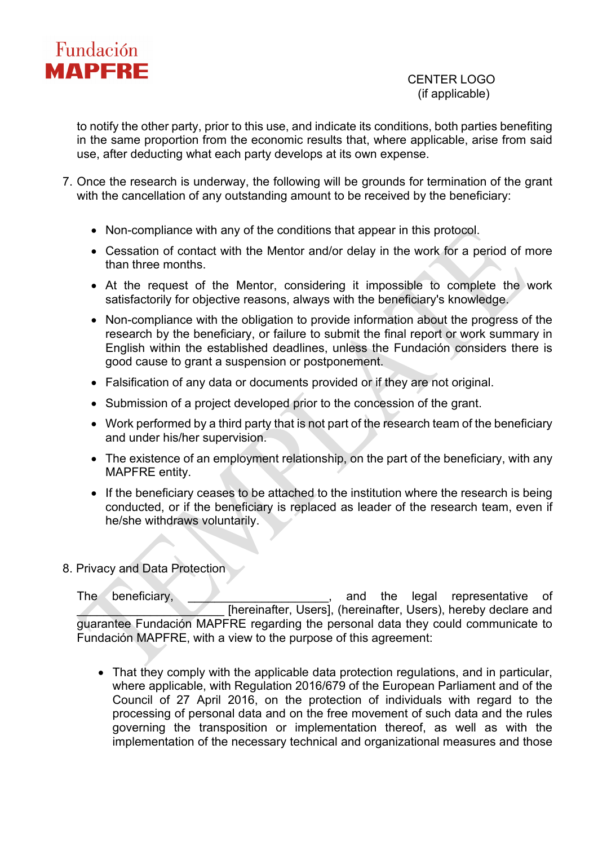

## CENTER LOGO (if applicable)

to notify the other party, prior to this use, and indicate its conditions, both parties benefiting in the same proportion from the economic results that, where applicable, arise from said use, after deducting what each party develops at its own expense.

- 7. Once the research is underway, the following will be grounds for termination of the grant with the cancellation of any outstanding amount to be received by the beneficiary:
	- Non-compliance with any of the conditions that appear in this protocol.
	- Cessation of contact with the Mentor and/or delay in the work for a period of more than three months.
	- At the request of the Mentor, considering it impossible to complete the work satisfactorily for objective reasons, always with the beneficiary's knowledge.
	- Non-compliance with the obligation to provide information about the progress of the research by the beneficiary, or failure to submit the final report or work summary in English within the established deadlines, unless the Fundación considers there is good cause to grant a suspension or postponement.
	- Falsification of any data or documents provided or if they are not original.
	- Submission of a project developed prior to the concession of the grant.
	- Work performed by a third party that is not part of the research team of the beneficiary and under his/her supervision.
	- The existence of an employment relationship, on the part of the beneficiary, with any MAPFRE entity.
	- If the beneficiary ceases to be attached to the institution where the research is being conducted, or if the beneficiary is replaced as leader of the research team, even if he/she withdraws voluntarily.

#### 8. Privacy and Data Protection

The beneficiary, the state of the legal representative of [hereinafter, Users], (hereinafter, Users), hereby declare and guarantee Fundación MAPFRE regarding the personal data they could communicate to Fundación MAPFRE, with a view to the purpose of this agreement:

• That they comply with the applicable data protection regulations, and in particular, where applicable, with Regulation 2016/679 of the European Parliament and of the Council of 27 April 2016, on the protection of individuals with regard to the processing of personal data and on the free movement of such data and the rules governing the transposition or implementation thereof, as well as with the implementation of the necessary technical and organizational measures and those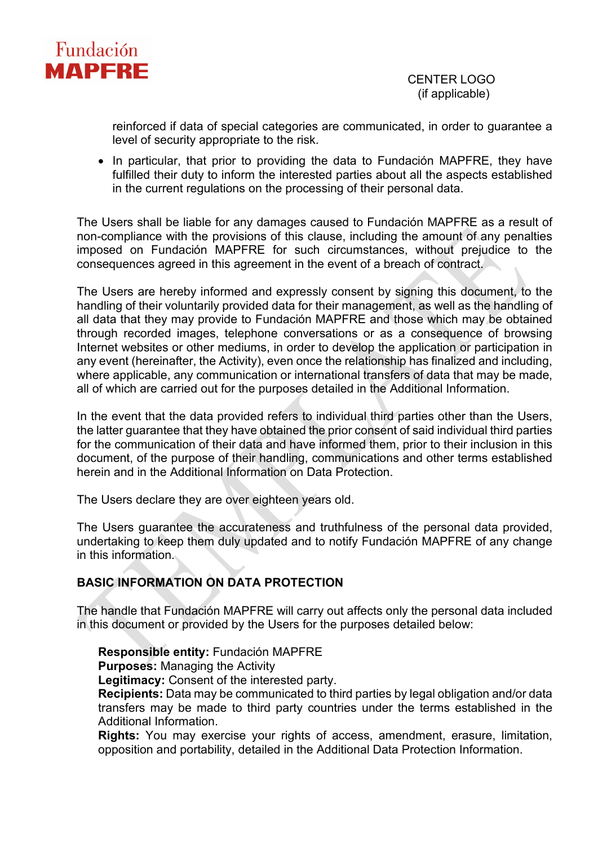

reinforced if data of special categories are communicated, in order to guarantee a level of security appropriate to the risk.

• In particular, that prior to providing the data to Fundación MAPFRE, they have fulfilled their duty to inform the interested parties about all the aspects established in the current regulations on the processing of their personal data.

The Users shall be liable for any damages caused to Fundación MAPFRE as a result of non-compliance with the provisions of this clause, including the amount of any penalties imposed on Fundación MAPFRE for such circumstances, without prejudice to the consequences agreed in this agreement in the event of a breach of contract.

The Users are hereby informed and expressly consent by signing this document, to the handling of their voluntarily provided data for their management, as well as the handling of all data that they may provide to Fundación MAPFRE and those which may be obtained through recorded images, telephone conversations or as a consequence of browsing Internet websites or other mediums, in order to develop the application or participation in any event (hereinafter, the Activity), even once the relationship has finalized and including, where applicable, any communication or international transfers of data that may be made, all of which are carried out for the purposes detailed in the Additional Information.

In the event that the data provided refers to individual third parties other than the Users, the latter guarantee that they have obtained the prior consent of said individual third parties for the communication of their data and have informed them, prior to their inclusion in this document, of the purpose of their handling, communications and other terms established herein and in the Additional Information on Data Protection.

The Users declare they are over eighteen years old.

The Users guarantee the accurateness and truthfulness of the personal data provided, undertaking to keep them duly updated and to notify Fundación MAPFRE of any change in this information.

# **BASIC INFORMATION ON DATA PROTECTION**

The handle that Fundación MAPFRE will carry out affects only the personal data included in this document or provided by the Users for the purposes detailed below:

#### **Responsible entity:** Fundación MAPFRE

**Purposes:** Managing the Activity

**Legitimacy:** Consent of the interested party.

**Recipients:** Data may be communicated to third parties by legal obligation and/or data transfers may be made to third party countries under the terms established in the Additional Information.

**Rights:** You may exercise your rights of access, amendment, erasure, limitation, opposition and portability, detailed in the Additional Data Protection Information.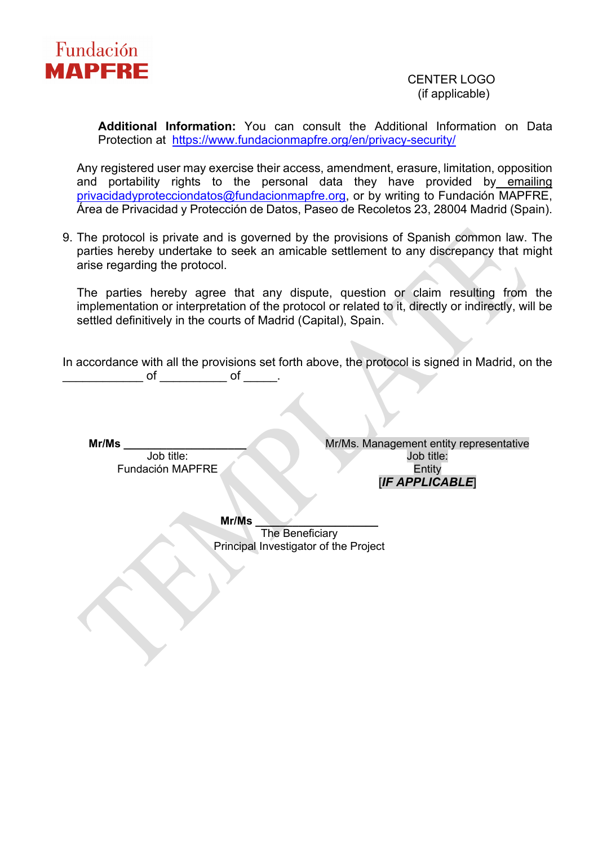

# (if applicable)

**Additional Information:** You can consult the Additional Information on Data Protection at <https://www.fundacionmapfre.org/en/privacy-security/>

Any registered user may exercise their access, amendment, erasure, limitation, opposition and portability rights to the personal data they have provided by emailing [privacidadyprotecciondatos@fundacionmapfre.org,](mailto:privacidadyprotecciondatos@fundacionmapfre.org) or by writing to Fundación MAPFRE, Área de Privacidad y Protección de Datos, Paseo de Recoletos 23, 28004 Madrid (Spain).

9. The protocol is private and is governed by the provisions of Spanish common law. The parties hereby undertake to seek an amicable settlement to any discrepancy that might arise regarding the protocol.

The parties hereby agree that any dispute, question or claim resulting from the implementation or interpretation of the protocol or related to it, directly or indirectly, will be settled definitively in the courts of Madrid (Capital), Spain.

In accordance with all the provisions set forth above, the protocol is signed in Madrid, on the \_ of \_\_\_\_\_\_\_\_\_\_\_ of \_\_\_\_\_\_.

**Mr/Ms \_\_\_\_\_\_\_\_\_\_\_\_\_\_\_\_\_\_\_\_**

Job title: Fundación MAPFRE Mr/Ms. Management entity representative Job title: Entity [*IF APPLICABLE*]

**Mr/Ms \_\_\_\_\_\_\_\_\_\_\_\_\_\_\_\_\_\_\_\_**

The Beneficiary Principal Investigator of the Project